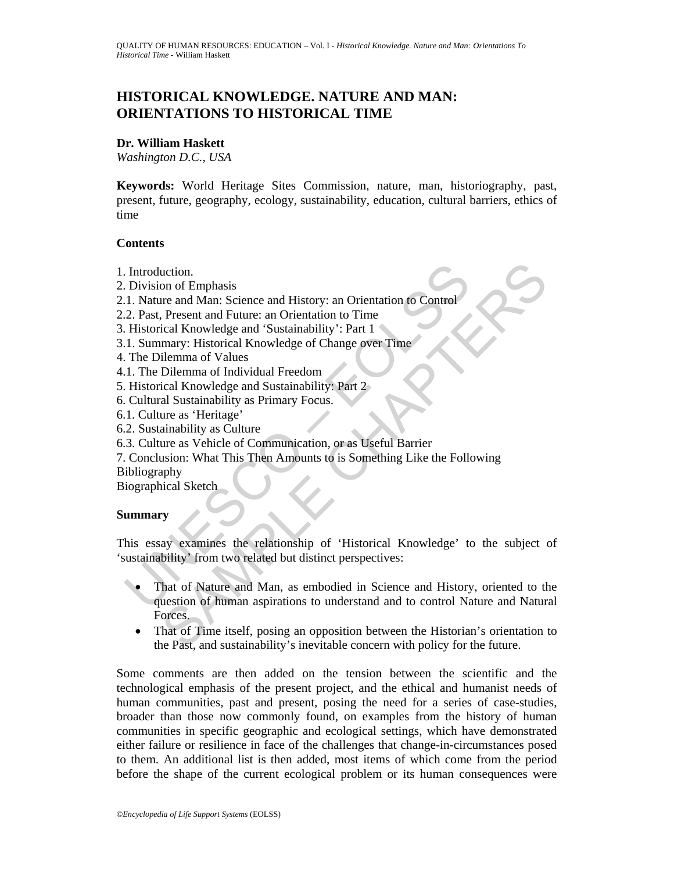# **HISTORICAL KNOWLEDGE. NATURE AND MAN: ORIENTATIONS TO HISTORICAL TIME**

#### **Dr. William Haskett**

*Washington D.C., USA* 

**Keywords:** World Heritage Sites Commission, nature, man, historiography, past, present, future, geography, ecology, sustainability, education, cultural barriers, ethics of time

#### **Contents**

- 1. Introduction.
- 2. Division of Emphasis
- 2.1. Nature and Man: Science and History: an Orientation to Control
- 2.2. Past, Present and Future: an Orientation to Time
- 3. Historical Knowledge and 'Sustainability': Part 1
- 3.1. Summary: Historical Knowledge of Change over Time
- 4. The Dilemma of Values
- 4.1. The Dilemma of Individual Freedom
- 5. Historical Knowledge and Sustainability: Part 2
- 6. Cultural Sustainability as Primary Focus.
- 6.1. Culture as 'Heritage'
- 6.2. Sustainability as Culture
- 6.3. Culture as Vehicle of Communication, or as Useful Barrier
- 7. Conclusion: What This Then Amounts to is Something Like the Following

Bibliography

Biographical Sketch

#### **Summary**

This essay examines the relationship of 'Historical Knowledge' to the subject of 'sustainability' from two related but distinct perspectives:

- Introduction.<br>
I. Nature and Man: Science and History: an Orientation to Control<br>
1. Nature and Man: Science and History: an Orientation to Time<br>
2. Past, Present and Future: an Orientation to Time<br>
1. Historical Knowledge uction.<br>
The many HEmplasis<br>
The many Man: Science and History: an Orientation to Control<br>
Present and Future: an Orientation to Time<br>
ical Knowledge and 'Sustainability': Part 1<br>
many: Historical Knowledge of Change over That of Nature and Man, as embodied in Science and History, oriented to the question of human aspirations to understand and to control Nature and Natural Forces.
	- That of Time itself, posing an opposition between the Historian's orientation to the Past, and sustainability's inevitable concern with policy for the future.

Some comments are then added on the tension between the scientific and the technological emphasis of the present project, and the ethical and humanist needs of human communities, past and present, posing the need for a series of case-studies, broader than those now commonly found, on examples from the history of human communities in specific geographic and ecological settings, which have demonstrated either failure or resilience in face of the challenges that change-in-circumstances posed to them. An additional list is then added, most items of which come from the period before the shape of the current ecological problem or its human consequences were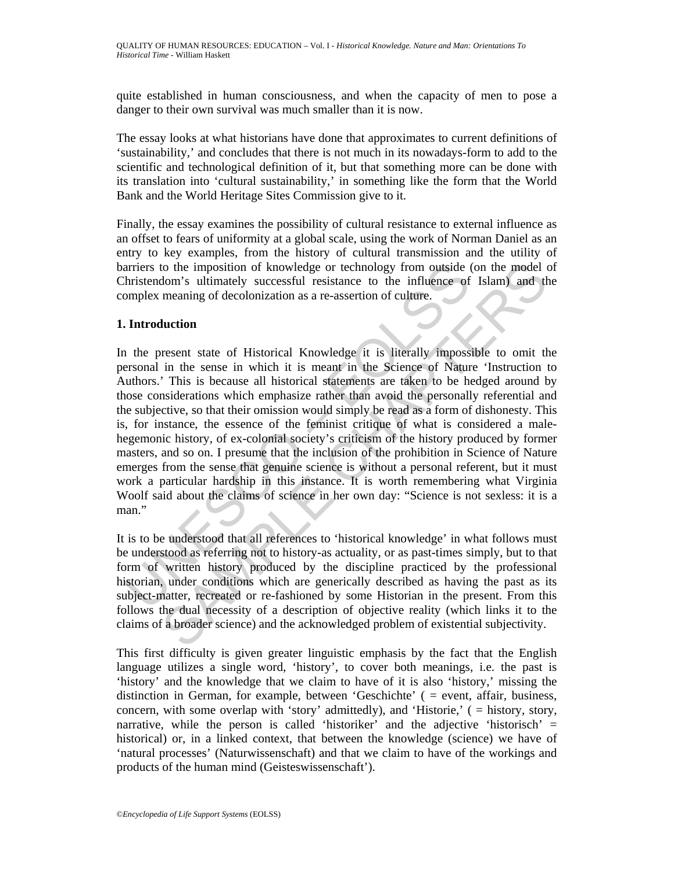quite established in human consciousness, and when the capacity of men to pose a danger to their own survival was much smaller than it is now.

The essay looks at what historians have done that approximates to current definitions of 'sustainability,' and concludes that there is not much in its nowadays-form to add to the scientific and technological definition of it, but that something more can be done with its translation into 'cultural sustainability,' in something like the form that the World Bank and the World Heritage Sites Commission give to it.

Finally, the essay examines the possibility of cultural resistance to external influence as an offset to fears of uniformity at a global scale, using the work of Norman Daniel as an entry to key examples, from the history of cultural transmission and the utility of barriers to the imposition of knowledge or technology from outside (on the model of Christendom's ultimately successful resistance to the influence of Islam) and the complex meaning of decolonization as a re-assertion of culture.

### **1. Introduction**

and the imposition of knowledge or technology from outside thristendom's ultimately successful resistance to the influence of omplex meaning of decolonization as a re-assertion of culture.<br> **Introduction**<br>
1 the present st to the imposition of knowledge or technology from outside (on the model dom's ultimately successful resistance to the influence of Islam) and the meaning of decolonization as a re-assertion of culture.<br> **Luction**<br>
Interior In the present state of Historical Knowledge it is literally impossible to omit the personal in the sense in which it is meant in the Science of Nature 'Instruction to Authors.' This is because all historical statements are taken to be hedged around by those considerations which emphasize rather than avoid the personally referential and the subjective, so that their omission would simply be read as a form of dishonesty. This is, for instance, the essence of the feminist critique of what is considered a malehegemonic history, of ex-colonial society's criticism of the history produced by former masters, and so on. I presume that the inclusion of the prohibition in Science of Nature emerges from the sense that genuine science is without a personal referent, but it must work a particular hardship in this instance. It is worth remembering what Virginia Woolf said about the claims of science in her own day: "Science is not sexless: it is a man."

It is to be understood that all references to 'historical knowledge' in what follows must be understood as referring not to history-as actuality, or as past-times simply, but to that form of written history produced by the discipline practiced by the professional historian, under conditions which are generically described as having the past as its subject-matter, recreated or re-fashioned by some Historian in the present. From this follows the dual necessity of a description of objective reality (which links it to the claims of a broader science) and the acknowledged problem of existential subjectivity.

This first difficulty is given greater linguistic emphasis by the fact that the English language utilizes a single word, 'history', to cover both meanings, i.e. the past is 'history' and the knowledge that we claim to have of it is also 'history,' missing the distinction in German, for example, between 'Geschichte' ( = event, affair, business, concern, with some overlap with 'story' admittedly), and 'Historie,' ( = history, story, narrative, while the person is called 'historiker' and the adjective 'historisch' = historical) or, in a linked context, that between the knowledge (science) we have of 'natural processes' (Naturwissenschaft) and that we claim to have of the workings and products of the human mind (Geisteswissenschaft').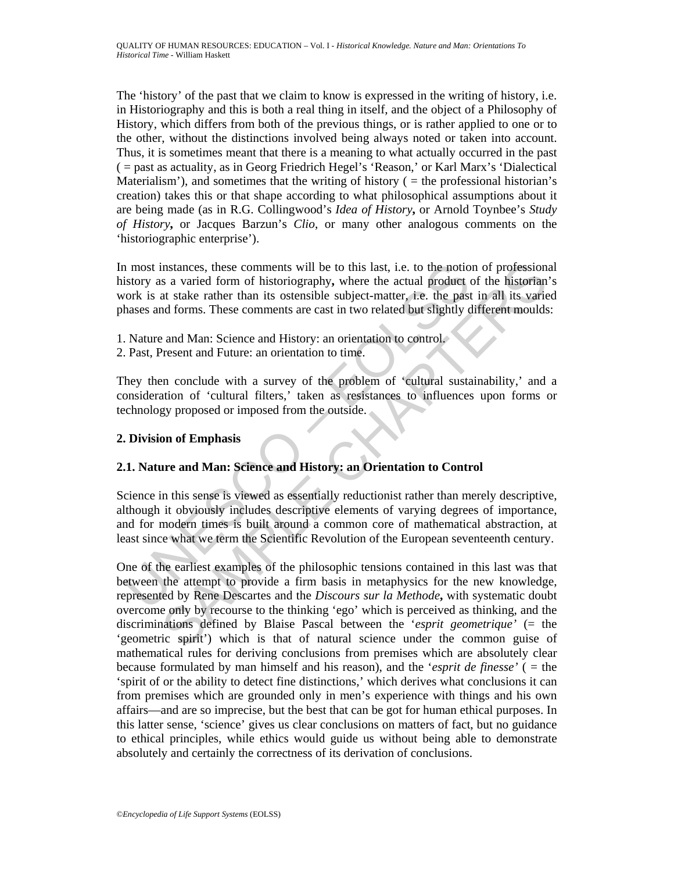The 'history' of the past that we claim to know is expressed in the writing of history, i.e. in Historiography and this is both a real thing in itself, and the object of a Philosophy of History, which differs from both of the previous things, or is rather applied to one or to the other, without the distinctions involved being always noted or taken into account. Thus, it is sometimes meant that there is a meaning to what actually occurred in the past ( = past as actuality, as in Georg Friedrich Hegel's 'Reason,' or Karl Marx's 'Dialectical Materialism'), and sometimes that the writing of history  $($  = the professional historian's creation) takes this or that shape according to what philosophical assumptions about it are being made (as in R.G. Collingwood's *Idea of History***,** or Arnold Toynbee's *Study of History***,** or Jacques Barzun's *Clio*, or many other analogous comments on the 'historiographic enterprise').

In most instances, these comments will be to this last, i.e. to the notion of professional history as a varied form of historiography**,** where the actual product of the historian's work is at stake rather than its ostensible subject-matter, i.e. the past in all its varied phases and forms. These comments are cast in two related but slightly different moulds:

- 1. Nature and Man: Science and History: an orientation to control.
- 2. Past, Present and Future: an orientation to time.

They then conclude with a survey of the problem of 'cultural sustainability,' and a consideration of 'cultural filters,' taken as resistances to influences upon forms or technology proposed or imposed from the outside.

### **2. Division of Emphasis**

## **2.1. Nature and Man: Science and History: an Orientation to Control**

In most instances, these comments will be to this last, i.e. to the notication<br>istory as a varied form of historiography, where the actual product cork is at stake rather than its ostersible subject-mater, i.e. the past<br>on Science in this sense is viewed as essentially reductionist rather than merely descriptive, although it obviously includes descriptive elements of varying degrees of importance, and for modern times is built around a common core of mathematical abstraction, at least since what we term the Scientific Revolution of the European seventeenth century.

instances, these comments will be to this last, i.e. to the notion of professiona<br>
s a varied form of historiography, where the actual product of the historian<br>
at stake rather than its ostensible subject-matter, i.e. the One of the earliest examples of the philosophic tensions contained in this last was that between the attempt to provide a firm basis in metaphysics for the new knowledge, represented by Rene Descartes and the *Discours sur la Methode***,** with systematic doubt overcome only by recourse to the thinking 'ego' which is perceived as thinking, and the discriminations defined by Blaise Pascal between the '*esprit geometrique'* (= the 'geometric spirit') which is that of natural science under the common guise of mathematical rules for deriving conclusions from premises which are absolutely clear because formulated by man himself and his reason), and the '*esprit de finesse'* ( = the 'spirit of or the ability to detect fine distinctions,' which derives what conclusions it can from premises which are grounded only in men's experience with things and his own affairs—and are so imprecise, but the best that can be got for human ethical purposes. In this latter sense, 'science' gives us clear conclusions on matters of fact, but no guidance to ethical principles, while ethics would guide us without being able to demonstrate absolutely and certainly the correctness of its derivation of conclusions.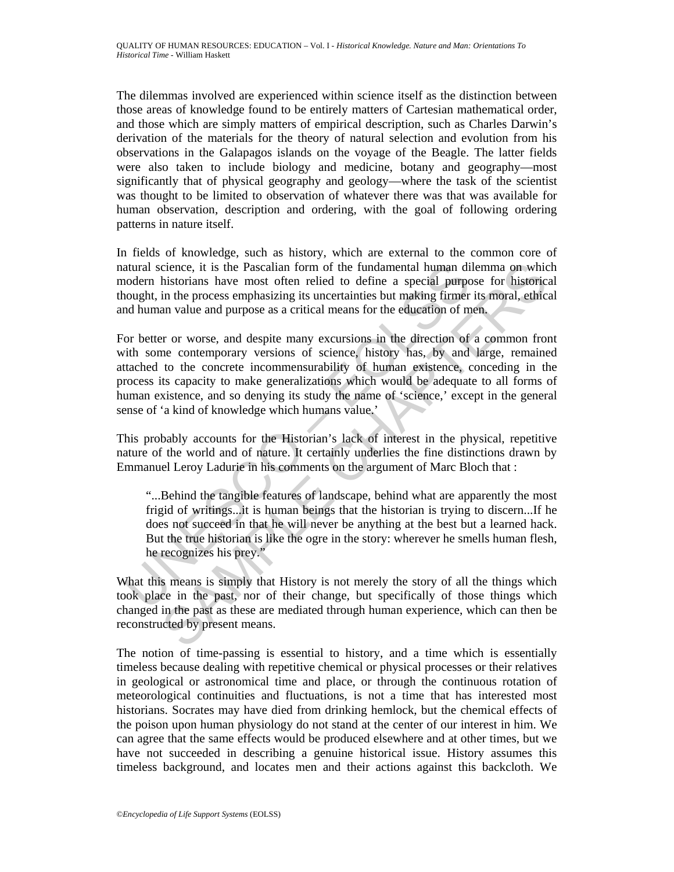The dilemmas involved are experienced within science itself as the distinction between those areas of knowledge found to be entirely matters of Cartesian mathematical order, and those which are simply matters of empirical description, such as Charles Darwin's derivation of the materials for the theory of natural selection and evolution from his observations in the Galapagos islands on the voyage of the Beagle. The latter fields were also taken to include biology and medicine, botany and geography—most significantly that of physical geography and geology—where the task of the scientist was thought to be limited to observation of whatever there was that was available for human observation, description and ordering, with the goal of following ordering patterns in nature itself.

In fields of knowledge, such as history, which are external to the common core of natural science, it is the Pascalian form of the fundamental human dilemma on which modern historians have most often relied to define a special purpose for historical thought, in the process emphasizing its uncertainties but making firmer its moral, ethical and human value and purpose as a critical means for the education of men.

atural science, it is the Pascalian form of the fundamental human dioodern historians have most often relied to define a special purpo<br>cought, in the process emphasizing its uncertainties but making firmer<br>cought, in the p cience, it is the Pascalian form of the fundamental human dilemma on which<br>instorians have most offern relied to define a special purpose for historic<br>in the process emphasizing its uncertainties but making firmer its mora For better or worse, and despite many excursions in the direction of a common front with some contemporary versions of science, history has, by and large, remained attached to the concrete incommensurability of human existence, conceding in the process its capacity to make generalizations which would be adequate to all forms of human existence, and so denying its study the name of 'science,' except in the general sense of 'a kind of knowledge which humans value.'

This probably accounts for the Historian's lack of interest in the physical, repetitive nature of the world and of nature. It certainly underlies the fine distinctions drawn by Emmanuel Leroy Ladurie in his comments on the argument of Marc Bloch that :

"...Behind the tangible features of landscape, behind what are apparently the most frigid of writings...it is human beings that the historian is trying to discern...If he does not succeed in that he will never be anything at the best but a learned hack. But the true historian is like the ogre in the story: wherever he smells human flesh, he recognizes his prey."

What this means is simply that History is not merely the story of all the things which took place in the past, nor of their change, but specifically of those things which changed in the past as these are mediated through human experience, which can then be reconstructed by present means.

The notion of time-passing is essential to history, and a time which is essentially timeless because dealing with repetitive chemical or physical processes or their relatives in geological or astronomical time and place, or through the continuous rotation of meteorological continuities and fluctuations, is not a time that has interested most historians. Socrates may have died from drinking hemlock, but the chemical effects of the poison upon human physiology do not stand at the center of our interest in him. We can agree that the same effects would be produced elsewhere and at other times, but we have not succeeded in describing a genuine historical issue. History assumes this timeless background, and locates men and their actions against this backcloth. We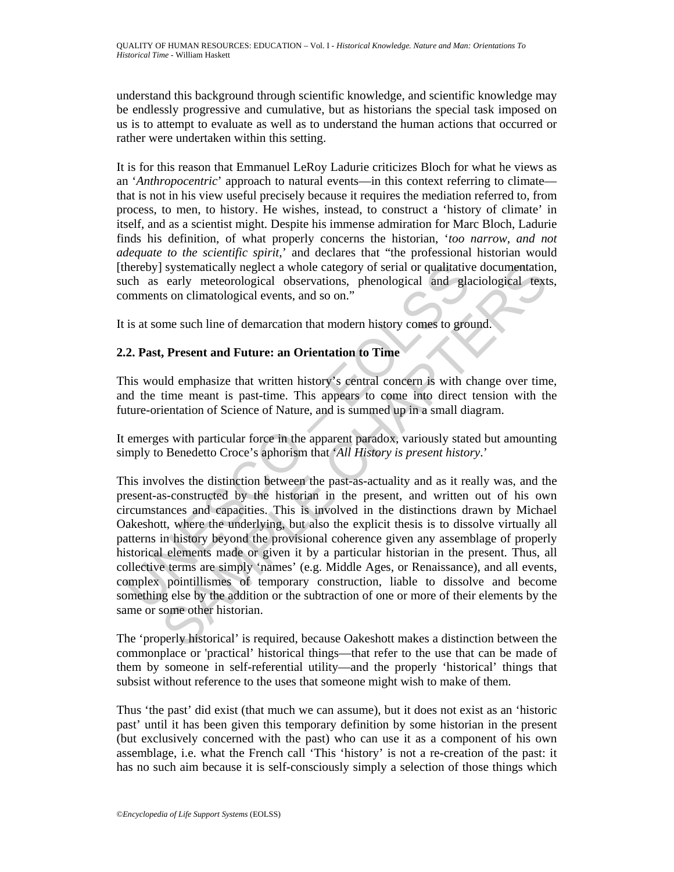understand this background through scientific knowledge, and scientific knowledge may be endlessly progressive and cumulative, but as historians the special task imposed on us is to attempt to evaluate as well as to understand the human actions that occurred or rather were undertaken within this setting.

It is for this reason that Emmanuel LeRoy Ladurie criticizes Bloch for what he views as an '*Anthropocentric*' approach to natural events—in this context referring to climate that is not in his view useful precisely because it requires the mediation referred to, from process, to men, to history. He wishes, instead, to construct a 'history of climate' in itself, and as a scientist might. Despite his immense admiration for Marc Bloch, Ladurie finds his definition, of what properly concerns the historian, '*too narrow, and not adequate to the scientific spirit,*' and declares that "the professional historian would [thereby] systematically neglect a whole category of serial or qualitative documentation, such as early meteorological observations, phenological and glaciological texts, comments on climatological events, and so on."

It is at some such line of demarcation that modern history comes to ground.

## **2.2. Past, Present and Future: an Orientation to Time**

This would emphasize that written history's central concern is with change over time, and the time meant is past-time. This appears to come into direct tension with the future-orientation of Science of Nature, and is summed up in a small diagram.

It emerges with particular force in the apparent paradox, variously stated but amounting simply to Benedetto Croce's aphorism that '*All History is present history*.'

hereby] systematically neglect a whole category of serial or qualitativ<br>colch as early meteorological observations, phenological and gla<br>omments on climatological events, and so on."<br>is at some such line of demarcation tha I systematically neglect a whole category of serial or qualitative documentation<br>carly meteorological observations, phenological and glaciological text<br>son climatological cvents, and so on."<br>me such line of demarcation tha This involves the distinction between the past-as-actuality and as it really was, and the present-as-constructed by the historian in the present, and written out of his own circumstances and capacities. This is involved in the distinctions drawn by Michael Oakeshott, where the underlying, but also the explicit thesis is to dissolve virtually all patterns in history beyond the provisional coherence given any assemblage of properly historical elements made or given it by a particular historian in the present. Thus, all collective terms are simply 'names' (e.g. Middle Ages, or Renaissance), and all events, complex pointillismes of temporary construction, liable to dissolve and become something else by the addition or the subtraction of one or more of their elements by the same or some other historian.

The 'properly historical' is required, because Oakeshott makes a distinction between the commonplace or 'practical' historical things—that refer to the use that can be made of them by someone in self-referential utility—and the properly 'historical' things that subsist without reference to the uses that someone might wish to make of them.

Thus 'the past' did exist (that much we can assume), but it does not exist as an 'historic past' until it has been given this temporary definition by some historian in the present (but exclusively concerned with the past) who can use it as a component of his own assemblage, i.e. what the French call 'This 'history' is not a re-creation of the past: it has no such aim because it is self-consciously simply a selection of those things which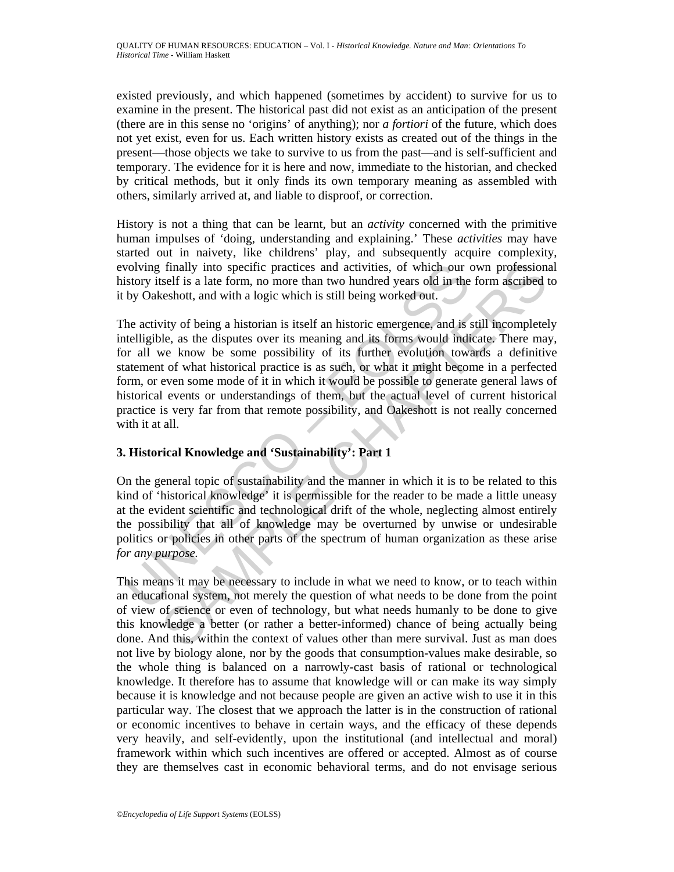existed previously, and which happened (sometimes by accident) to survive for us to examine in the present. The historical past did not exist as an anticipation of the present (there are in this sense no 'origins' of anything); nor *a fortiori* of the future, which does not yet exist, even for us. Each written history exists as created out of the things in the present—those objects we take to survive to us from the past—and is self-sufficient and temporary. The evidence for it is here and now, immediate to the historian, and checked by critical methods, but it only finds its own temporary meaning as assembled with others, similarly arrived at, and liable to disproof, or correction.

History is not a thing that can be learnt, but an *activity* concerned with the primitive human impulses of 'doing, understanding and explaining.' These *activities* may have started out in naivety, like childrens' play, and subsequently acquire complexity, evolving finally into specific practices and activities, of which our own professional history itself is a late form, no more than two hundred years old in the form ascribed to it by Oakeshott, and with a logic which is still being worked out.

volving finally into specific practices and activities, of which our existory itself is a late form, no more than two hundred years old in the by Oakeshott, and with a logic which is still being worked out.<br>
he activity o finally into specific practices and activities, of which our own professions<br>cesh is a late form, no more than two hundred years old in the form ascribed<br>ceshott, and with a logic which is still being worked out.<br>thy of b The activity of being a historian is itself an historic emergence, and is still incompletely intelligible, as the disputes over its meaning and its forms would indicate. There may, for all we know be some possibility of its further evolution towards a definitive statement of what historical practice is as such, or what it might become in a perfected form, or even some mode of it in which it would be possible to generate general laws of historical events or understandings of them, but the actual level of current historical practice is very far from that remote possibility, and Oakeshott is not really concerned with it at all.

## **3. Historical Knowledge and 'Sustainability': Part 1**

On the general topic of sustainability and the manner in which it is to be related to this kind of 'historical knowledge' it is permissible for the reader to be made a little uneasy at the evident scientific and technological drift of the whole, neglecting almost entirely the possibility that all of knowledge may be overturned by unwise or undesirable politics or policies in other parts of the spectrum of human organization as these arise *for any purpose.*

This means it may be necessary to include in what we need to know, or to teach within an educational system, not merely the question of what needs to be done from the point of view of science or even of technology, but what needs humanly to be done to give this knowledge a better (or rather a better-informed) chance of being actually being done. And this, within the context of values other than mere survival. Just as man does not live by biology alone, nor by the goods that consumption-values make desirable, so the whole thing is balanced on a narrowly-cast basis of rational or technological knowledge. It therefore has to assume that knowledge will or can make its way simply because it is knowledge and not because people are given an active wish to use it in this particular way. The closest that we approach the latter is in the construction of rational or economic incentives to behave in certain ways, and the efficacy of these depends very heavily, and self-evidently, upon the institutional (and intellectual and moral) framework within which such incentives are offered or accepted. Almost as of course they are themselves cast in economic behavioral terms, and do not envisage serious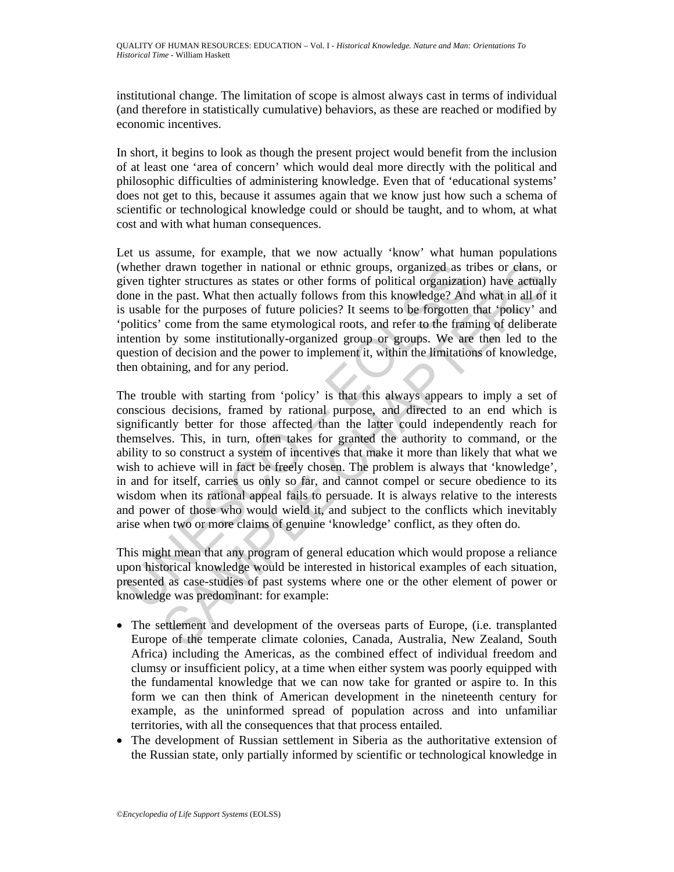institutional change. The limitation of scope is almost always cast in terms of individual (and therefore in statistically cumulative) behaviors, as these are reached or modified by economic incentives.

In short, it begins to look as though the present project would benefit from the inclusion of at least one 'area of concern' which would deal more directly with the political and philosophic difficulties of administering knowledge. Even that of 'educational systems' does not get to this, because it assumes again that we know just how such a schema of scientific or technological knowledge could or should be taught, and to whom, at what cost and with what human consequences.

Let us assume, for example, that we now actually 'know' what human populations (whether drawn together in national or ethnic groups, organized as tribes or clans, or given tighter structures as states or other forms of political organization) have actually done in the past. What then actually follows from this knowledge? And what in all of it is usable for the purposes of future policies? It seems to be forgotten that 'policy' and 'politics' come from the same etymological roots, and refer to the framing of deliberate intention by some institutionally-organized group or groups. We are then led to the question of decision and the power to implement it, within the limitations of knowledge, then obtaining, and for any period.

whether drawn together in national or ethnic groups, organized as the viven tighter structures as states or other forms of political organization one in the past. What then actually follows from this knowledge? And used us drawn together in national or ethnic groups, organized as tribes or clans, or<br>the patt. What the actually follows from this knowledge? And what in all of<br>the patt. What then actually follows from this knowledge? And what The trouble with starting from 'policy' is that this always appears to imply a set of conscious decisions, framed by rational purpose, and directed to an end which is significantly better for those affected than the latter could independently reach for themselves. This, in turn, often takes for granted the authority to command, or the ability to so construct a system of incentives that make it more than likely that what we wish to achieve will in fact be freely chosen. The problem is always that 'knowledge', in and for itself, carries us only so far, and cannot compel or secure obedience to its wisdom when its rational appeal fails to persuade. It is always relative to the interests and power of those who would wield it, and subject to the conflicts which inevitably arise when two or more claims of genuine 'knowledge' conflict, as they often do.

This might mean that any program of general education which would propose a reliance upon historical knowledge would be interested in historical examples of each situation, presented as case-studies of past systems where one or the other element of power or knowledge was predominant: for example:

- The settlement and development of the overseas parts of Europe, (i.e. transplanted Europe of the temperate climate colonies, Canada, Australia, New Zealand, South Africa) including the Americas, as the combined effect of individual freedom and clumsy or insufficient policy, at a time when either system was poorly equipped with the fundamental knowledge that we can now take for granted or aspire to. In this form we can then think of American development in the nineteenth century for example, as the uninformed spread of population across and into unfamiliar territories, with all the consequences that that process entailed.
- The development of Russian settlement in Siberia as the authoritative extension of the Russian state, only partially informed by scientific or technological knowledge in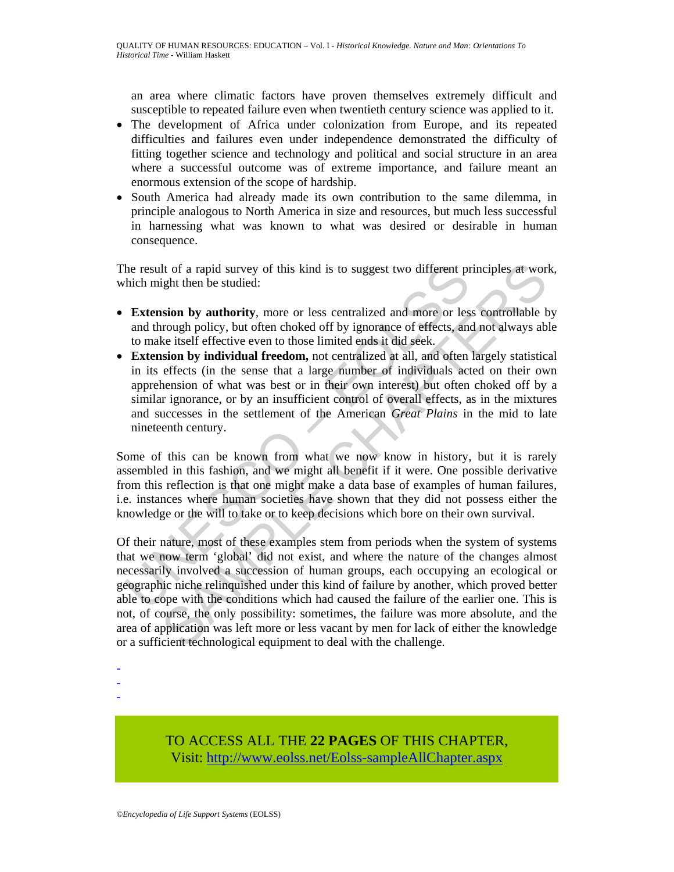an area where climatic factors have proven themselves extremely difficult and susceptible to repeated failure even when twentieth century science was applied to it.

- The development of Africa under colonization from Europe, and its repeated difficulties and failures even under independence demonstrated the difficulty of fitting together science and technology and political and social structure in an area where a successful outcome was of extreme importance, and failure meant an enormous extension of the scope of hardship.
- South America had already made its own contribution to the same dilemma, in principle analogous to North America in size and resources, but much less successful in harnessing what was known to what was desired or desirable in human consequence.

The result of a rapid survey of this kind is to suggest two different principles at work, which might then be studied:

- **Extension by authority**, more or less centralized and more or less controllable by and through policy, but often choked off by ignorance of effects, and not always able to make itself effective even to those limited ends it did seek.
- the result of a rapid survey of this kind is to suggest two different problem the result of a rapid survey of this kind is to suggest two different procher which might then be studied:<br> **Extension by authority**, more or le • **Extension by individual freedom,** not centralized at all, and often largely statistical in its effects (in the sense that a large number of individuals acted on their own apprehension of what was best or in their own interest) but often choked off by a similar ignorance, or by an insufficient control of overall effects, as in the mixtures and successes in the settlement of the American *Great Plains* in the mid to late nineteenth century.

Some of this can be known from what we now know in history, but it is rarely assembled in this fashion, and we might all benefit if it were. One possible derivative from this reflection is that one might make a data base of examples of human failures, i.e. instances where human societies have shown that they did not possess either the knowledge or the will to take or to keep decisions which bore on their own survival.

It of a rapid survey of this kind is to suggest two different principles at worley<br>ight then be studied:<br> **SSOMPLY** then the studied controllable broughly policy, but often choked off by ignorance of effects, and not alwa Of their nature, most of these examples stem from periods when the system of systems that we now term 'global' did not exist, and where the nature of the changes almost necessarily involved a succession of human groups, each occupying an ecological or geographic niche relinquished under this kind of failure by another, which proved better able to cope with the conditions which had caused the failure of the earlier one. This is not, of course, the only possibility: sometimes, the failure was more absolute, and the area of application was left more or less vacant by men for lack of either the knowledge or a sufficient technological equipment to deal with the challenge.

-

- -

> TO ACCESS ALL THE **22 PAGES** OF THIS CHAPTER, Visit[: http://www.eolss.net/Eolss-sampleAllChapter.aspx](https://www.eolss.net/ebooklib/sc_cart.aspx?File=E1-12-02-01)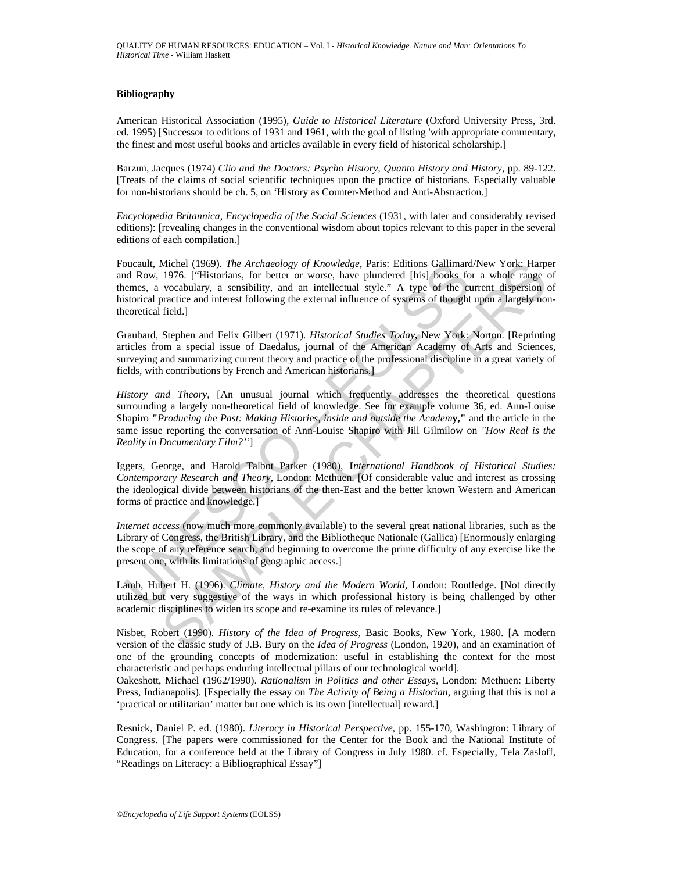#### **Bibliography**

American Historical Association (1995), *Guide to Historical Literature* (Oxford University Press, 3rd. ed. 1995) [Successor to editions of 1931 and 1961, with the goal of listing 'with appropriate commentary, the finest and most useful books and articles available in every field of historical scholarship.]

Barzun, Jacques (1974) *Clio and the Doctors: Psycho History, Quanto History and History,* pp. 89-122. [Treats of the claims of social scientific techniques upon the practice of historians. Especially valuable for non-historians should be ch. 5, on 'History as Counter-Method and Anti-Abstraction.]

*Encyclopedia Britannica, Encyclopedia of the Social Sciences* (1931, with later and considerably revised editions): [revealing changes in the conventional wisdom about topics relevant to this paper in the several editions of each compilation.]

Foucault, Michel (1969). *The Archaeology of Knowledge*, Paris: Editions Gallimard/New York: Harper and Row, 1976. ["Historians, for better or worse, have plundered [his] books for a whole range of themes, a vocabulary, a sensibility, and an intellectual style." A type of the current dispersion of historical practice and interest following the external influence of systems of thought upon a largely nontheoretical field.]

Graubard, Stephen and Felix Gilbert (1971). *Historical Studies Today***,** New York: Norton. [Reprinting articles from a special issue of Daedalus**,** journal of the American Academy of Arts and Sciences, surveying and summarizing current theory and practice of the professional discipline in a great variety of fields, with contributions by French and American historians.]

bucault, Michel (1969). *Ihe Archaeology of Knowledge*, Parsis: Editions Gallimarc<br>and Row, 1976. ["Historians, for better or worse, have plundered [his] books fo<br>emes, a vocabulary, a sensibility, and an intellectual sty Michel (1969). The Archaeology of Knowledge, Panis: Editions Gallimard/New York: Harpen Chilib, 1976. ["Historians, for better or worse, have plundered [his] books for a whole range overabulary, a sensibility, and an inte *History and Theory,* [An unusual journal which frequently addresses the theoretical questions surrounding a largely non-theoretical field of knowledge. See for example volume 36, ed. Ann-Louise Shapiro **"***Producing the Past: Making Histories, inside and outside the Academ***y,"** and the article in the same issue reporting the conversation of Ann-Louise Shapiro with Jill Gilmilow on *"How Real is the Reality in Documentary Film?''*]

Iggers, George, and Harold Talbot Parker (1980), **I***nternational Handbook of Historical Studies: Contemporary Research and Theory,* London: Methuen. [Of considerable value and interest as crossing the ideological divide between historians of the then-East and the better known Western and American forms of practice and knowledge.]

*Internet access* (now much more commonly available) to the several great national libraries, such as the Library of Congress, the British Library, and the Bibliotheque Nationale (Gallica) [Enormously enlarging the scope of any reference search, and beginning to overcome the prime difficulty of any exercise like the present one, with its limitations of geographic access.]

Lamb, Hubert H. (1996). *Climate, History and the Modern World,* London: Routledge. [Not directly utilized but very suggestive of the ways in which professional history is being challenged by other academic disciplines to widen its scope and re-examine its rules of relevance.]

Nisbet, Robert (1990). *History of the Idea of Progress,* Basic Books, New York, 1980. [A modern version of the classic study of J.B. Bury on the *Idea of Progress* (London, 1920), and an examination of one of the grounding concepts of modernization: useful in establishing the context for the most characteristic and perhaps enduring intellectual pillars of our technological world].

Oakeshott, Michael (1962/1990). *Rationalism in Politics and other Essays,* London: Methuen: Liberty Press, Indianapolis). [Especially the essay on *The Activity of Being a Historian*, arguing that this is not a 'practical or utilitarian' matter but one which is its own [intellectual] reward.]

Resnick, Daniel P. ed. (1980). *Literacy in Historical Perspective*, pp. 155-170, Washington: Library of Congress. [The papers were commissioned for the Center for the Book and the National Institute of Education, for a conference held at the Library of Congress in July 1980. cf. Especially, Tela Zasloff, "Readings on Literacy: a Bibliographical Essay"]